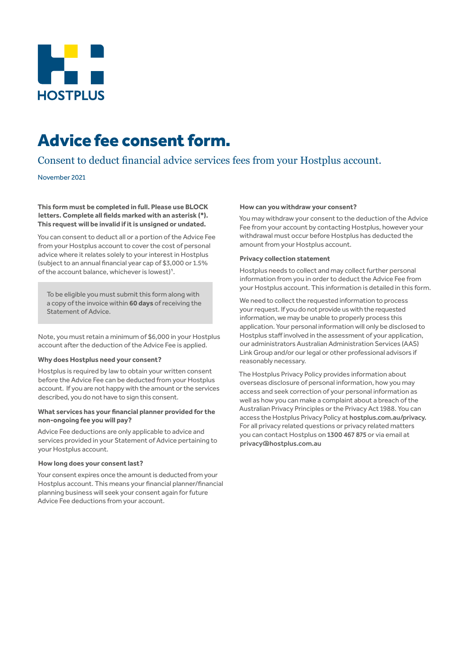

# Advice fee consent form.

## Consent to deduct financial advice services fees from your Hostplus account.

## November 2021

**This form must be completed in full. Please use BLOCK letters. Complete all fields marked with an asterisk (\*). This request will be invalid if it is unsigned or undated.**

You can consent to deduct all or a portion of the Advice Fee from your Hostplus account to cover the cost of personal advice where it relates solely to your interest in Hostplus (subject to an annual financial year cap of \$3,000 or 1.5% of the account balance, whichever is lowest)<sup>1</sup>.

To be eligible you must submit this form along with a copy of the invoice within **60 days** of receiving the Statement of Advice.

Note, you must retain a minimum of \$6,000 in your Hostplus account after the deduction of the Advice Fee is applied.

## **Why does Hostplus need your consent?**

Hostplus is required by law to obtain your written consent before the Advice Fee can be deducted from your Hostplus account. If you are not happy with the amount or the services described, you do not have to sign this consent.

## **What services has your financial planner provided for the non-ongoing fee you will pay?**

Advice Fee deductions are only applicable to advice and services provided in your Statement of Advice pertaining to your Hostplus account.

## **How long does your consent last?**

Your consent expires once the amount is deducted from your Hostplus account. This means your financial planner/financial planning business will seek your consent again for future Advice Fee deductions from your account.

## **How can you withdraw your consent?**

You may withdraw your consent to the deduction of the Advice Fee from your account by contacting Hostplus, however your withdrawal must occur before Hostplus has deducted the amount from your Hostplus account.

## **Privacy collection statement**

Hostplus needs to collect and may collect further personal information from you in order to deduct the Advice Fee from your Hostplus account. This information is detailed in this form.

We need to collect the requested information to process your request. If you do not provide us with the requested information, we may be unable to properly process this application. Your personal information will only be disclosed to Hostplus staff involved in the assessment of your application, our administrators Australian Administration Services (AAS) Link Group and/or our legal or other professional advisors if reasonably necessary.

The Hostplus Privacy Policy provides information about overseas disclosure of personal information, how you may access and seek correction of your personal information as well as how you can make a complaint about a breach of the Australian Privacy Principles or the Privacy Act 1988. You can access the Hostplus Privacy Policy at hostplus.com.au/privacy. For all privacy related questions or privacy related matters you can contact Hostplus on 1300 467 875 or via email at privacy@hostplus.com.au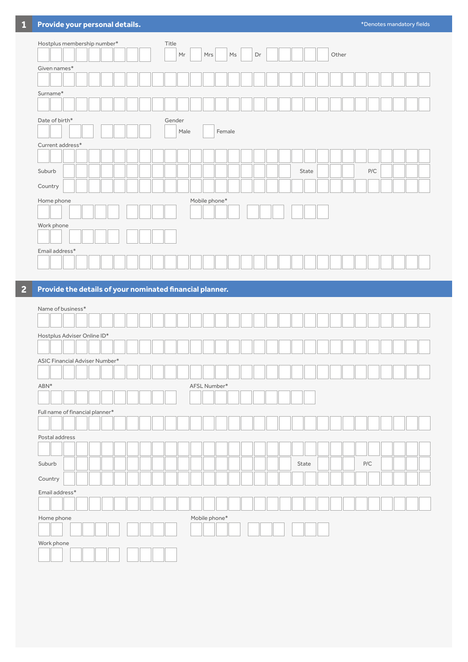| Hostplus membership number* | Title<br>Other<br>Mr<br>Mrs<br>$\mathsf{Ms}$<br>Dr |  |
|-----------------------------|----------------------------------------------------|--|
| Given names*                |                                                    |  |
| Surname*                    |                                                    |  |
|                             |                                                    |  |
| Date of birth*              | Gender                                             |  |
|                             | Male<br>Female                                     |  |
| $Current address*$          |                                                    |  |
|                             |                                                    |  |
| Suburb                      | ${\sf P/C}$<br>State                               |  |
| Country                     |                                                    |  |
| Home phone                  | Mobile phone*                                      |  |
|                             |                                                    |  |
| Work phone                  |                                                    |  |
| Email address*              |                                                    |  |
|                             |                                                    |  |

## **2 Provide the details of your nominated financial planner.**

| Name of business*               |               |       |     |
|---------------------------------|---------------|-------|-----|
|                                 |               |       |     |
| Hostplus Adviser Online ID*     |               |       |     |
|                                 |               |       |     |
| ASIC Financial Adviser Number*  |               |       |     |
|                                 |               |       |     |
| ABN*                            | AFSL Number*  |       |     |
|                                 |               |       |     |
| Full name of financial planner* |               |       |     |
|                                 |               |       |     |
| Postal address                  |               |       |     |
|                                 |               |       |     |
| Suburb                          |               | State | P/C |
| Country                         |               |       |     |
| Email address*                  |               |       |     |
|                                 |               |       |     |
| Home phone                      | Mobile phone* |       |     |
|                                 |               |       |     |
| Work phone                      |               |       |     |
|                                 |               |       |     |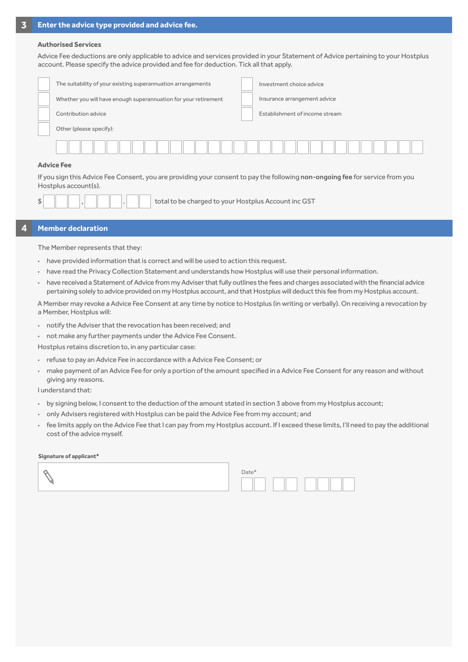### **Authorised Services**

Advice Fee deductions are only applicable to advice and services provided in your Statement of Advice pertaining to your Hostplus account. Please specify the advice provided and fee for deduction. Tick all that apply.

| The suitability of your existing superannuation arrangements    |  | Investment choice advice       |  |  |  |  |  |
|-----------------------------------------------------------------|--|--------------------------------|--|--|--|--|--|
| Whether you will have enough superannuation for your retirement |  | Insurance arrangement advice   |  |  |  |  |  |
| Contribution advice                                             |  | Establishment of income stream |  |  |  |  |  |
| Other (please specify):                                         |  |                                |  |  |  |  |  |
|                                                                 |  |                                |  |  |  |  |  |
| <b>Advice Fee</b>                                               |  |                                |  |  |  |  |  |

## **Advice Fee**

If you sign this Advice Fee Consent, you are providing your consent to pay the following non-ongoing fee for service from you Hostplus account(s).

total to be charged to your Hostplus Account inc GST

## **4 Member declaration**

The Member represents that they:

- **·** have provided information that is correct and will be used to action this request.
- **·** have read the Privacy Collection Statement and understands how Hostplus will use their personal information.
- **·** have received a Statement of Advice from my Adviser that fully outlines the fees and charges associated with the financial advice pertaining solely to advice provided on my Hostplus account, and that Hostplus will deduct this fee from my Hostplus account.

A Member may revoke a Advice Fee Consent at any time by notice to Hostplus (in writing or verbally). On receiving a revocation by a Member, Hostplus will:

- **·** notify the Adviser that the revocation has been received; and
- **·** not make any further payments under the Advice Fee Consent.

Hostplus retains discretion to, in any particular case:

- **·** refuse to pay an Advice Fee in accordance with a Advice Fee Consent; or
- **·** make payment of an Advice Fee for only a portion of the amount specified in a Advice Fee Consent for any reason and without giving any reasons.

I understand that:

- **·** by signing below, I consent to the deduction of the amount stated in section 3 above from my Hostplus account;
- **·** only Advisers registered with Hostplus can be paid the Advice Fee from my account; and
- **·** fee limits apply on the Advice Fee that I can pay from my Hostplus account. If I exceed these limits, I'll need to pay the additional cost of the advice myself.

#### **Signature of applicant\***

| Date* |
|-------|
|       |